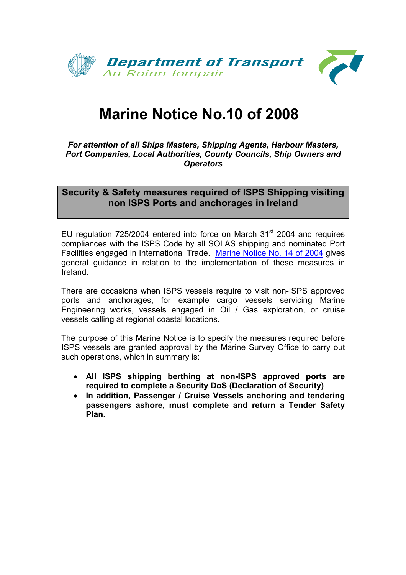

# **Marine Notice No.10 of 2008**

*For attention of all Ships Masters, Shipping Agents, Harbour Masters, Port Companies, Local Authorities, County Councils, Ship Owners and Operators* 

### **Security & Safety measures required of ISPS Shipping visiting non ISPS Ports and anchorages in Ireland**

EU regulation 725/2004 entered into force on March  $31<sup>st</sup>$  2004 and requires compliances with the ISPS Code by all SOLAS shipping and nominated Port Facilities engaged in International Trade. [Marine Notice No. 14 of 2004](http://www.transport.ie/viewitem.asp?id=7963&lang=ENG&loc=2014) gives general guidance in relation to the implementation of these measures in Ireland.

There are occasions when ISPS vessels require to visit non-ISPS approved ports and anchorages, for example cargo vessels servicing Marine Engineering works, vessels engaged in Oil / Gas exploration, or cruise vessels calling at regional coastal locations.

The purpose of this Marine Notice is to specify the measures required before ISPS vessels are granted approval by the Marine Survey Office to carry out such operations, which in summary is:

- **All ISPS shipping berthing at non-ISPS approved ports are required to complete a Security DoS (Declaration of Security)**
- **In addition, Passenger / Cruise Vessels anchoring and tendering passengers ashore, must complete and return a Tender Safety Plan.**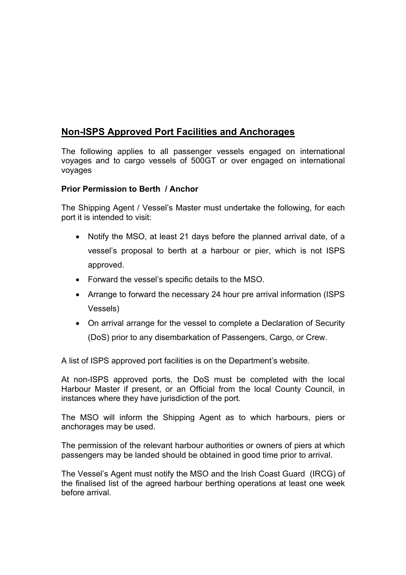## **Non-ISPS Approved Port Facilities and Anchorages**

The following applies to all passenger vessels engaged on international voyages and to cargo vessels of 500GT or over engaged on international voyages

#### **Prior Permission to Berth / Anchor**

The Shipping Agent / Vessel's Master must undertake the following, for each port it is intended to visit:

- Notify the MSO, at least 21 days before the planned arrival date, of a vessel's proposal to berth at a harbour or pier, which is not ISPS approved.
- Forward the vessel's specific details to the MSO.
- Arrange to forward the necessary 24 hour pre arrival information (ISPS) Vessels)
- On arrival arrange for the vessel to complete a Declaration of Security (DoS) prior to any disembarkation of Passengers, Cargo, or Crew.

A list of ISPS approved port facilities is on the Department's website.

At non-ISPS approved ports, the DoS must be completed with the local Harbour Master if present, or an Official from the local County Council, in instances where they have jurisdiction of the port.

The MSO will inform the Shipping Agent as to which harbours, piers or anchorages may be used.

The permission of the relevant harbour authorities or owners of piers at which passengers may be landed should be obtained in good time prior to arrival.

The Vessel's Agent must notify the MSO and the Irish Coast Guard (IRCG) of the finalised list of the agreed harbour berthing operations at least one week before arrival.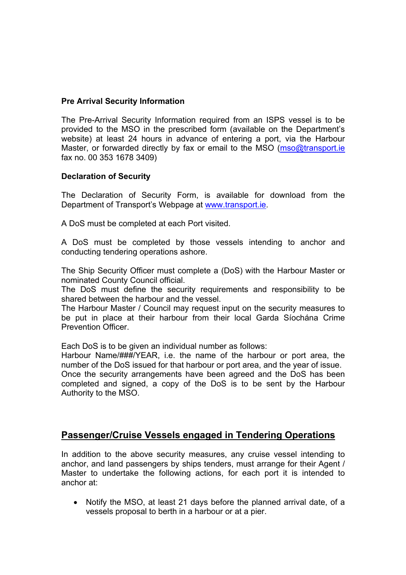#### **Pre Arrival Security Information**

The Pre-Arrival Security Information required from an ISPS vessel is to be provided to the MSO in the prescribed form (available on the Department's website) at least 24 hours in advance of entering a port, via the Harbour Master, or forwarded directly by fax or email to the MSO (mso@transport.ie fax no. 00 353 1678 3409)

#### **Declaration of Security**

The Declaration of Security Form, is available for download from the Department of Transport's Webpage at [www.transport.ie.](http://www.transport.ie/)

A DoS must be completed at each Port visited.

A DoS must be completed by those vessels intending to anchor and conducting tendering operations ashore.

The Ship Security Officer must complete a (DoS) with the Harbour Master or nominated County Council official.

The DoS must define the security requirements and responsibility to be shared between the harbour and the vessel.

The Harbour Master / Council may request input on the security measures to be put in place at their harbour from their local Garda Síochána Crime Prevention Officer.

Each DoS is to be given an individual number as follows:

Harbour Name/###/YEAR, i.e. the name of the harbour or port area, the number of the DoS issued for that harbour or port area, and the year of issue.

Once the security arrangements have been agreed and the DoS has been completed and signed, a copy of the DoS is to be sent by the Harbour Authority to the MSO.

#### **Passenger/Cruise Vessels engaged in Tendering Operations**

In addition to the above security measures, any cruise vessel intending to anchor, and land passengers by ships tenders, must arrange for their Agent / Master to undertake the following actions, for each port it is intended to anchor at:

• Notify the MSO, at least 21 days before the planned arrival date, of a vessels proposal to berth in a harbour or at a pier.